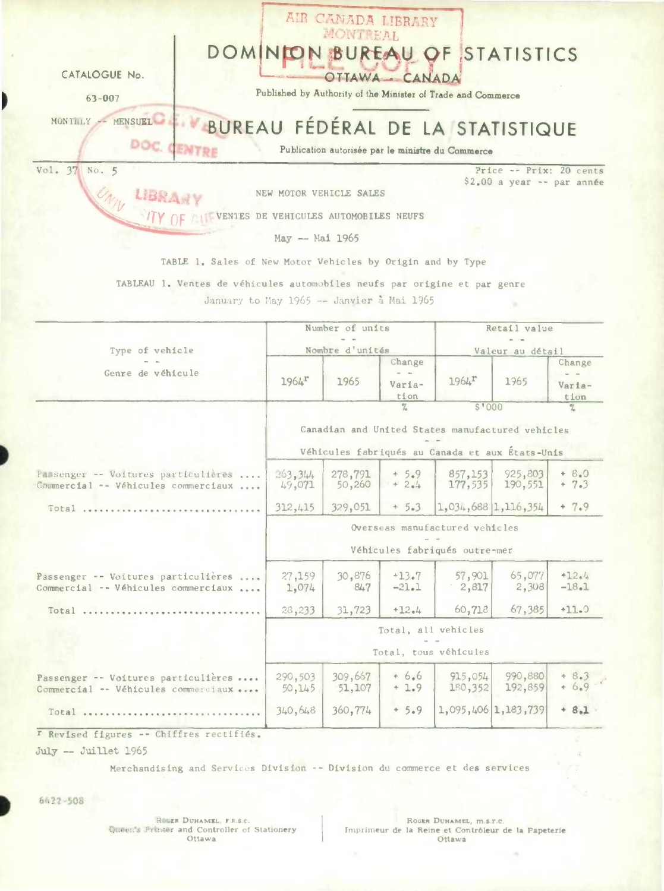|                                                                            |                                       | AIR CANADA LIBRARY<br>MOUTEEAL |                                           |                                                              |                                                  |                              |
|----------------------------------------------------------------------------|---------------------------------------|--------------------------------|-------------------------------------------|--------------------------------------------------------------|--------------------------------------------------|------------------------------|
| DOMINI                                                                     |                                       |                                |                                           |                                                              | <b>BUREAU OF STATISTICS</b>                      |                              |
| CATALOGUE No.                                                              |                                       |                                | OTTAWA CANADA                             |                                                              |                                                  |                              |
| $63 - 007$                                                                 |                                       |                                |                                           | Published by Authority of the Minister of Trade and Commerce |                                                  |                              |
| MENSUEL PE VBUREAU FÉDÉRAL DE LA STATISTIQUE<br>MONTHLY                    |                                       |                                |                                           |                                                              |                                                  |                              |
|                                                                            |                                       |                                |                                           | Publication autorisée par le ministre du Commerce            |                                                  |                              |
| Vol. 37 No. 5                                                              |                                       |                                |                                           |                                                              | Price -- Prix: 20 cents                          |                              |
|                                                                            | NEW MOTOR VEHICLE SALES               |                                |                                           |                                                              | $$2,00$ a year -- par année                      |                              |
|                                                                            | VENTES DE VEHICULES AUTOMOBILES NEUFS |                                |                                           |                                                              |                                                  |                              |
|                                                                            | May -- Mai 1965                       |                                |                                           |                                                              |                                                  |                              |
| TABLE 1. Sales of New Motor Vehicles by Origin and by Type                 |                                       |                                |                                           |                                                              |                                                  |                              |
| TABLEAU 1. Ventes de véhicules automobiles neufs par origine et par genre  |                                       |                                |                                           |                                                              |                                                  |                              |
| January to May 1965 -- Janvier à Mai 1965                                  |                                       |                                |                                           |                                                              |                                                  |                              |
|                                                                            |                                       | Number of units                |                                           |                                                              | Retail value                                     |                              |
| Type of vehicle                                                            |                                       | Nombre d'unités                |                                           |                                                              | Valeur au détail                                 |                              |
| Genre de véhicule                                                          | $1964^{\Gamma}$                       | 1965                           | Change<br>$\sim$ $\sim$<br>Varia-<br>tion | 196 <sup>L</sup>                                             | 1965                                             | Change<br>Varia-             |
|                                                                            |                                       |                                | $\frac{20}{2}$                            | \$1000                                                       |                                                  | tion<br>$\frac{2}{\sqrt{2}}$ |
|                                                                            |                                       |                                |                                           |                                                              | Canadian and United States manufactured vehicles |                              |
|                                                                            |                                       |                                |                                           |                                                              | Véhicules fabriqués au Canada et aux États-Unis  |                              |
| Passenger -- Voitures particulières<br>Commercial -- Véhicules commerciaux | .263, 344<br>49,071                   | 278,791<br>50,260              | $+5.9$<br>$+ 2.4$                         | 857,153<br>177,535                                           | 925,803<br>190,551                               | $+ 8.0$<br>$+7.3$            |
| Total                                                                      | 312,415                               | 329,051                        | $+5.3$                                    | $1,034,688$ 1, 116, 354                                      |                                                  | $+7.9$                       |
|                                                                            |                                       |                                |                                           | Overseas manufactured vehicles                               |                                                  |                              |
|                                                                            |                                       |                                |                                           | Véhicules fabriqués outre-mer                                |                                                  |                              |
| Passenger -- Voitures particulières<br>Commercial -- Véhicules commerciaux | 27,159<br>1,074                       | 30,876<br>847                  | $+13.7$<br>$-21.1$                        | 57,901<br>$-2,817$                                           | 65,077<br>2,308                                  | $+12.4$<br>$-18.1$           |
| Total                                                                      | 28,233                                | 31,723                         | $+12.4$                                   | 60,718                                                       | 67,385                                           | $+11.0$                      |
|                                                                            |                                       |                                |                                           | Total, all vehicles                                          |                                                  |                              |
|                                                                            |                                       |                                |                                           | Total, tous véhicules                                        |                                                  |                              |
| Passenger -- Voitures particulières<br>Commercial -- Véhicules commerciaux | 290,503<br>50, 145                    | 309,667<br>51,107              | $+6.6$<br>$+1.9$                          | 915,054<br>180,352                                           | 990,880<br>192,859                               | $+8.3$<br>+ 6.9              |
| Total                                                                      | 340,648                               | 360,774                        | $+5.9$                                    |                                                              | 1,095,406 1,183,739                              | $+ 8.1$                      |
| T Revised figures -- Chiffres rectifiés.                                   |                                       |                                |                                           |                                                              |                                                  |                              |
| July -- Juillet 1965                                                       |                                       |                                |                                           |                                                              |                                                  |                              |

Merchandising and Services Division -- Division du commerce et des services

6422-508

b

ROWER DUHAMEL, F.R.S.C.<br>Queen's Princer and Controller of Stationery<br>Ottawa

ROGER DUHAMEL, M.S.T.C.<br>Imprimeur de la Reine et Contrôleur de la Papeterie<br>Ottawa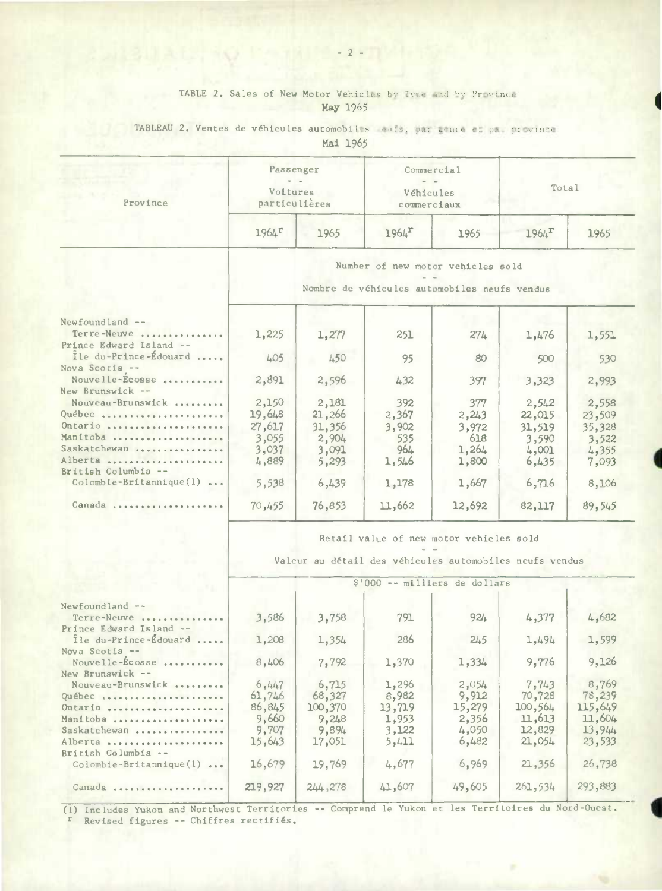### TABLE 2. Sales of New Motor Vehicles by Type and by Province **May 1965**

TABLEAU 2. Ventes de véhicules automobiles neuts, par genre et par province

**Mal** 1965

| Province                          | Passenger<br>Voitures<br>particulières                                            |        | Commercial<br>Véhicules<br>commerciaux |        | Total               |        |  |  |  |  |
|-----------------------------------|-----------------------------------------------------------------------------------|--------|----------------------------------------|--------|---------------------|--------|--|--|--|--|
|                                   | $1964^T$                                                                          | 1965   | $1964$ <sup>r</sup>                    | 1965   | $1964$ <sup>r</sup> | 1965   |  |  |  |  |
|                                   | Number of new motor vehicles sold<br>Nombre de véhicules automobiles neufs vendus |        |                                        |        |                     |        |  |  |  |  |
| Newfoundland --                   |                                                                                   |        |                                        |        |                     |        |  |  |  |  |
| Terre-Neuve                       | 1,225                                                                             | 1,277  | 251                                    | 274    | 1,476               | 1,551  |  |  |  |  |
| Prince Edward Island --           |                                                                                   |        |                                        |        |                     |        |  |  |  |  |
| Île du-Prince-Édouard             | 405                                                                               | 450    | 95                                     | 80     | 500                 | 530    |  |  |  |  |
| Nova Scotia --<br>Nouvelle-Ecosse |                                                                                   |        |                                        |        |                     |        |  |  |  |  |
| New Brunswick --                  | 2,891                                                                             | 2,596  | 432                                    | 397    | 3,323               | 2,993  |  |  |  |  |
| Nouveau-Brunswick                 | 2,150                                                                             | 2,181  | 392                                    | 377    | 2,542               | 2,558  |  |  |  |  |
| Québec                            | 19,648                                                                            | 21,266 | 2,367                                  | 2,243  | 22,015              | 23,509 |  |  |  |  |
| Ontario                           | 27,617                                                                            | 31,356 | 3,902                                  | 3,972  | 31,519              | 35,328 |  |  |  |  |
| Manitoba                          | 3,055                                                                             | 2,904  | 535                                    | 618    | 3,590               | 3,522  |  |  |  |  |
| Saskatchewan                      | 3,037                                                                             | 3,091  | 964                                    | 1,264  | 4,001               | 4,355  |  |  |  |  |
| Alberta                           | 4,889                                                                             | 5,293  | 1,546                                  | 1,800  | 6,435               | 7,093  |  |  |  |  |
| British Columbia --               |                                                                                   |        |                                        |        |                     |        |  |  |  |  |
| $Colomb1e-Br1tann1que(1) $        | 5,538                                                                             | 6,439  | 1,178                                  | 1,667  | 6,716               | 8,106  |  |  |  |  |
| Canada                            | 70,455                                                                            | 76,853 | 11,662                                 | 12,692 | 82,117              | 89,545 |  |  |  |  |

Retail value of new motor vehicles sold  $=$ 

Valeur au detail des véhicules automobiles neufs vendus

|                            | \$'000 -- milliers de dollars |         |        |        |         |         |  |  |  |
|----------------------------|-------------------------------|---------|--------|--------|---------|---------|--|--|--|
| $Newfoundland --$          |                               |         |        |        |         |         |  |  |  |
| Terre-Neuve                | 3,586                         | 3,758   | 791    | 924    | 4,377   | 4,682   |  |  |  |
| Prince Edward Island --    |                               |         |        |        |         |         |  |  |  |
| Île du-Prince-Édouard      | 1,208                         | 1,354   | 286    | 245    | 1,494   | 1,599   |  |  |  |
| Nova Scotia --             |                               |         |        |        |         |         |  |  |  |
| Nouvelle-Ecosse            | 8,406                         | 7,792   | 1,370  | 1,334  | 9,776   | 9,126   |  |  |  |
| New Brunswick --           |                               |         |        |        |         |         |  |  |  |
| Nouveau-Brunswick          | 6,447                         | 6,715   | 1,296  | 2,054  | 7,743   | 8,769   |  |  |  |
| Québec                     | 61,746                        | 68,327  | 8,982  | 9,912  | 70,728  | 78,239  |  |  |  |
|                            | 86,845                        | 100,370 | 13,719 | 15,279 | 100,564 | 115,649 |  |  |  |
| Manitoba                   | 9,660                         | 9,248   | 1,953  | 2,356  | 11,613  | 11,604  |  |  |  |
| Saskatchewan               | 9,707                         | 9,894   | 3,122  | 4,050  | 12,829  | 13,944  |  |  |  |
| Alberta                    | 15,643                        | 17,051  | 5,411  | 6,482  | 21,054  | 23,533  |  |  |  |
| British Columbia --        |                               |         |        |        |         |         |  |  |  |
| $Colombie-Britannique(1) $ | 16,679                        | 19,769  | 4,677  | 6,969  | 21,356  | 26,738  |  |  |  |
| Canada                     | 219,927                       | 244,278 | 41,607 | 49,605 | 261,534 | 293,883 |  |  |  |

**I --**  (1) Includes Yukon and Northwest Territories -- Comprend 1€ Yukon et les Territoires du Nord-Ouest. r Revised figures -- Chiffres rectifiês.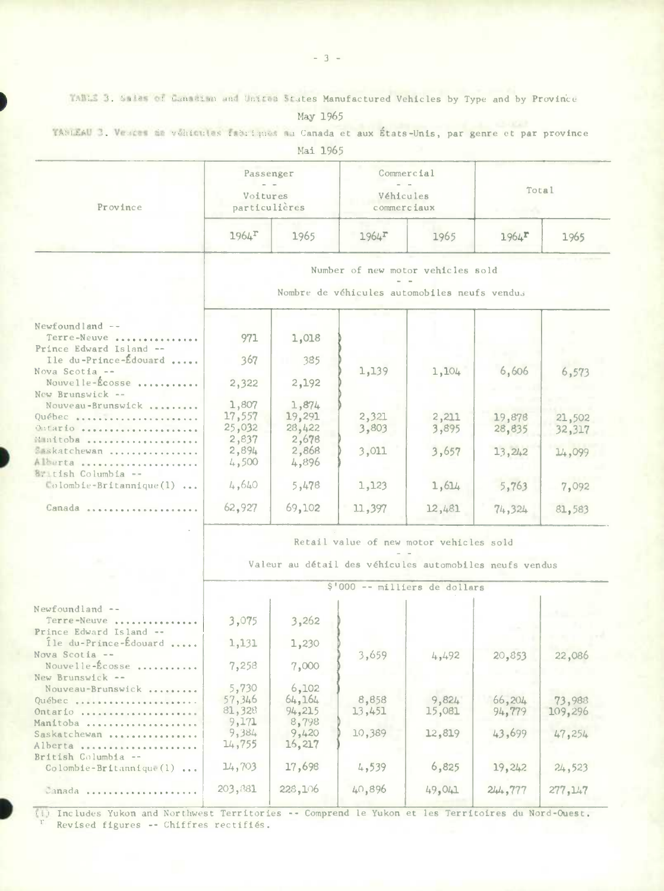TANIE 3. Sales of Canadian and United States Manufactured Vehicles by Type and by Province

May 1965

TABLEAU 3. Vesces de véhicules fabriques au Canada et aux États-Unis, par genre et par province

Mai 1965

|                                                          |                                         | Passenger        |                                                         | Commercial |                     |         |  |  |  |
|----------------------------------------------------------|-----------------------------------------|------------------|---------------------------------------------------------|------------|---------------------|---------|--|--|--|
| Province                                                 | Voitures                                | particulières    | Véhicules<br>commerciaux                                |            | Total               |         |  |  |  |
|                                                          | $1964$ <sup>r</sup>                     | 1965             | $1964$ <sup>r</sup>                                     | 1965       | $1964$ <sup>r</sup> | 1965    |  |  |  |
|                                                          |                                         |                  | Number of new motor vehicles sold                       |            |                     |         |  |  |  |
|                                                          |                                         |                  | Nombre de véhicules automobiles neufs vendus            |            |                     |         |  |  |  |
| $Newfoundland --$                                        |                                         |                  |                                                         |            |                     |         |  |  |  |
| Terre-Neuve<br>Prince Edward Island --                   | 971                                     | 1,018            |                                                         |            |                     |         |  |  |  |
| Ile du-Prince-Édouard<br>Nova Scotia --                  | 367                                     | 385              |                                                         |            | 6,606               |         |  |  |  |
| Nouvelle-Ecosse.<br>New Brunswick --                     | 2,322                                   | 2,192            | 1,139                                                   | 1,104      |                     | 6,573   |  |  |  |
| Nouveau-Brunswick                                        | 1,807                                   | 1,874            |                                                         |            |                     |         |  |  |  |
| Québec                                                   | 17,557<br>25,032                        | 19,291<br>28,422 | 2,321<br>3,803                                          | 2,211      | 19,878              | 21,502  |  |  |  |
| Outario<br>Muitoba                                       | 2,837                                   | 2,678            |                                                         | 3,895      | 28,835              | 32,317  |  |  |  |
| Saskatchewan                                             | 2,894                                   | 2,868            | 3,011                                                   | 3,657      | 13,242              | 14,099  |  |  |  |
| Alberta<br>British Columbia --                           | 4,500                                   | 4,896            |                                                         |            |                     |         |  |  |  |
| $\blacksquare$ olombie-Britannique(1)                    | 14,640                                  | 5,478            | 1,123                                                   | 1,614      | 5,763               | 7,092   |  |  |  |
| Canada                                                   | 62,927                                  | 69,102           | 11,397                                                  | 12,481     | 74,324              | 81,583  |  |  |  |
|                                                          | Retail value of new motor vehicles sold |                  |                                                         |            |                     |         |  |  |  |
|                                                          |                                         |                  | Valeur au détail des véhicules automobiles neufs vendus |            |                     |         |  |  |  |
|                                                          |                                         |                  | \$'000 -- milliers de dollars                           |            |                     |         |  |  |  |
| Newfoundland --                                          |                                         |                  |                                                         |            |                     |         |  |  |  |
| Terre-Neuve<br>Prince Edward Island --                   | 3,075                                   | 3,262            |                                                         |            |                     |         |  |  |  |
| Île du-Prince-Édouard                                    | 1,131                                   | 1,230            |                                                         |            |                     |         |  |  |  |
| Nova Scotia --<br>Nouvelle-Écosse<br>New Brunswick --    | 7,258                                   | 7,000            | 3,659                                                   | 4,492      | 20,853              | 22,086  |  |  |  |
| Nouveau-Brunswick                                        | 5,730                                   | 6,102            |                                                         |            |                     |         |  |  |  |
| Ouébec                                                   | 57,346                                  | 64,164           | 8,858                                                   | 9,824      | 66,204              | 73,988  |  |  |  |
| Ontario                                                  | 81,328                                  | 94,215           | 13,451                                                  | 15,081     | 94,779              | 109,296 |  |  |  |
| Manitoba                                                 | 9,171                                   | 8,798            |                                                         |            |                     |         |  |  |  |
| Saskatchewan                                             | 9,384                                   | 9,420            | 10,389                                                  | 12,819     | 43,699              | 47,254  |  |  |  |
| Alberta<br>and the company of the<br>British Columbia -- | 14,755                                  | 16,217           |                                                         |            |                     |         |  |  |  |
| Colombie-Britannique(1)                                  | 14,703                                  | 17,698           | 4,539                                                   | 6,825      | 19,242              | 24,523  |  |  |  |
| Canada                                                   | 203,881                                 | 228,106          | 40,896                                                  | 49,041     | 244,777             | 277,147 |  |  |  |
|                                                          |                                         |                  |                                                         |            |                     |         |  |  |  |

(1) Includes Yukon and Northwest Territories -- Comprend le Yukon et les Territoires du Nord-Ouest. Revised figures -- Chiffres rectifiés.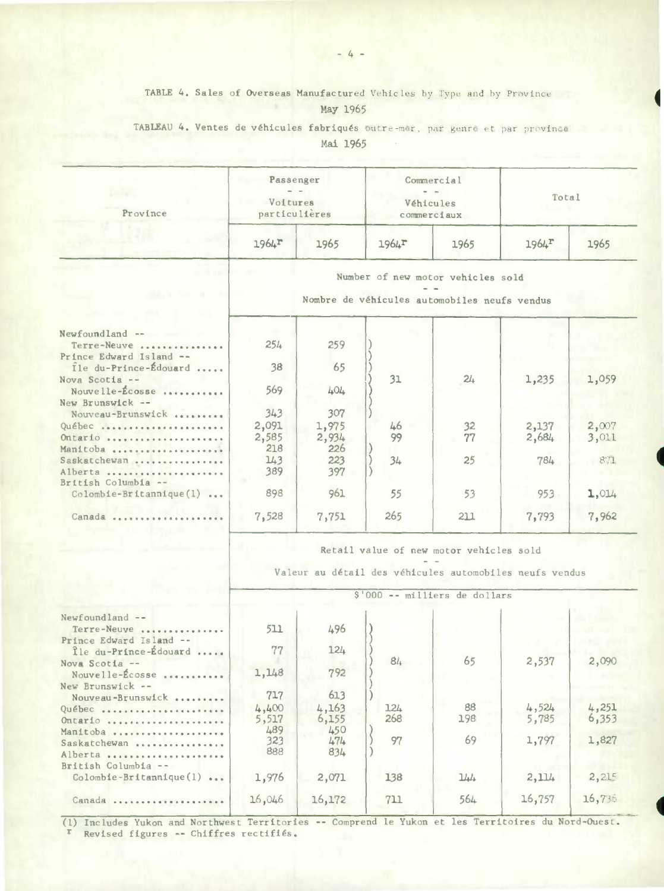#### TABLE 4. Sales of Overseas Manufactured Vehicles by Type and by Province 16 May 1965

## TABLEAU 4. Ventes de véhicules fabriqués outre-mor, par genre et par province Mai 1965

| Province | Passenger<br>Voitures<br>particulières |      |                     | Commercial<br>Véhicules<br>commerciaux | Total<br>.          |      |  |
|----------|----------------------------------------|------|---------------------|----------------------------------------|---------------------|------|--|
|          | $1964$ <sup>r</sup>                    | 1965 | $1964$ <sup>r</sup> | 1965                                   | $1964$ <sup>r</sup> | 1965 |  |

#### Number of new motor vehicles sold

Nombre de véhicules automobiles neufs vendus

| $Newtondland --$<br>Terre-Neuve | 254   | 259   |     |     |         |       |
|---------------------------------|-------|-------|-----|-----|---------|-------|
| Prince Edward Island --         |       |       |     |     |         |       |
| Tle du-Prince-Édouard           | 38    | 65    |     |     |         |       |
| Nova Scotia $-$                 |       |       | 31  | 24  | 1,235   | 1,059 |
| Nouvelle-Écosse                 | 569   | 404   |     |     |         |       |
| New Brunswick --                |       |       |     |     |         |       |
| Nouveau-Brunswick               | 343   | 307   |     |     |         |       |
| Québec                          | 2,091 | 1,975 | 46  | 32  | 2,137   | 2,007 |
| Ontario                         | 2,585 | 2,934 | 99  | 77  | 2,684   | 3,011 |
| Manitoba                        | 218   | 226   |     |     |         |       |
| Saskatchewan                    | 143   | 223   | 34  | 25  | 784     | 871   |
| Alberta                         | 389   | 397   |     |     |         |       |
| British Columbia --             |       |       |     |     |         |       |
| $Colombie-Br$ itannique $(l)$   | 898   | 961   | 55  | 53  | $953 -$ | 1,014 |
| Canada                          | 7,528 | 7,751 | 265 | 211 | 7,793   | 7,962 |
|                                 |       |       |     |     |         |       |

Retail value of new motor vehicles sold a la

Valeur au détail des véhicules automobiles neufs vendus

|                                                  | \$'000 -- milliers de dollars |        |     |     |        |        |  |  |  |
|--------------------------------------------------|-------------------------------|--------|-----|-----|--------|--------|--|--|--|
| $Newfoundland --$                                |                               |        |     |     |        |        |  |  |  |
| Terre-Neuve                                      | 511                           | 496    |     |     |        |        |  |  |  |
| Prince Edward Island --<br>Île du-Prince-Édouard | 77                            | 124    |     |     |        |        |  |  |  |
|                                                  |                               |        | 84  | 65  | 2,537  | 2,090  |  |  |  |
| Nova Scotia $-$<br>Nouvelle-Écosse               | 1,148                         | 792    |     |     |        |        |  |  |  |
| New Brunswick --                                 |                               |        |     |     |        |        |  |  |  |
| Nouveau-Brunswick                                | 717                           | 613    |     |     |        |        |  |  |  |
| Québec                                           | 4,400                         | 4,163  | 124 | 88  | 4,524  | 4,251  |  |  |  |
| Ontario                                          | 5,517                         | 6,155  | 268 | 198 | 5,785  | 6,353  |  |  |  |
| Manitoba                                         | 489                           | 450    |     |     |        |        |  |  |  |
| Saskatchewan                                     | 323                           | 474    | 97  | 69  | 1,797  | 1,827  |  |  |  |
| Alberta                                          | 888                           | 834    |     |     |        |        |  |  |  |
| British Columbia --                              |                               |        |     |     |        |        |  |  |  |
| $Colombie-Brittannique(1) $                      | 1,976                         | 2,071  | 138 | 144 | 2,114  | 2,215  |  |  |  |
| Canada                                           | 16,046                        | 16,172 | 711 | 564 | 16,757 | 16,736 |  |  |  |
|                                                  |                               |        |     |     |        |        |  |  |  |

(1) Includes Yukon and Northwest Territories -- Comprend le Yukon et les Territoires du Nord-Ouest. <sup>r</sup> Revised figures -- Chiffres rectifiés.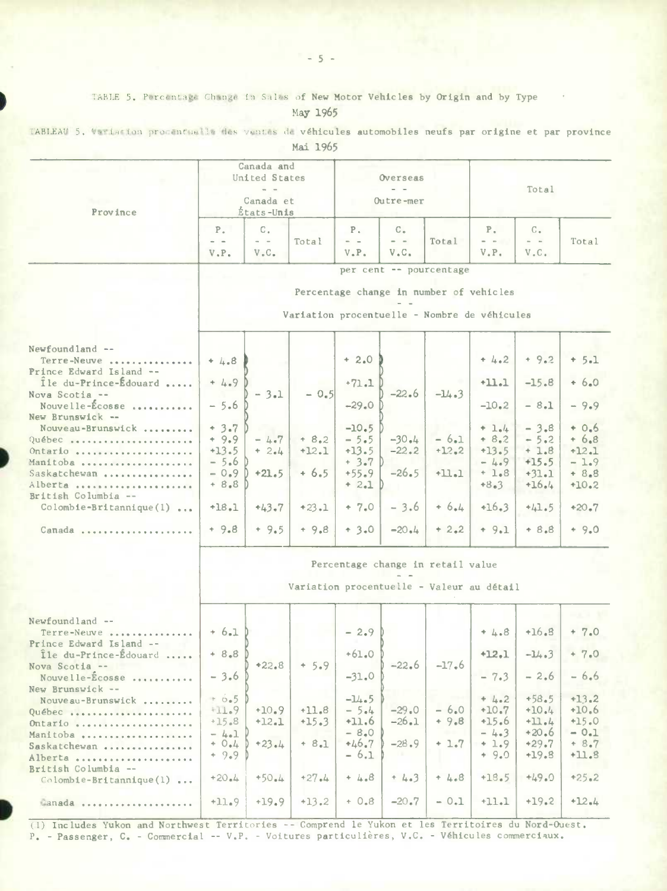TABLE 5. Percentage Change in Sales of New Motor Vehicles by Origin and by Type

May 1965

TABLEAU 5. Variation procentuelle des ventes de véhicules automobiles neufs par origine et par province

Mai 1965

|                                                           | Canada and<br>United States<br>$=$ $=$<br>Canada et |                              | Overseas<br>Outre-mer                        |                 |                                   | Total                                   |                                        |                                                             |         |
|-----------------------------------------------------------|-----------------------------------------------------|------------------------------|----------------------------------------------|-----------------|-----------------------------------|-----------------------------------------|----------------------------------------|-------------------------------------------------------------|---------|
| Province                                                  |                                                     | États-Unis                   |                                              |                 |                                   |                                         |                                        |                                                             |         |
|                                                           | $P_{\alpha}$                                        | $C_{+}$<br>$\qquad \qquad -$ | Total                                        | $P_{+}$<br>$ -$ | $C_{\alpha}$<br>$\alpha = \alpha$ | Total                                   | $P_{\alpha}$<br>$\omega_{\rm{c}}$ , as | $C_{n}$<br>$\qquad \qquad \blacksquare \qquad \blacksquare$ | Total   |
|                                                           | V.P.                                                | $V$ . $C$ .                  |                                              | $V$ . $P$ .     | V.C.                              |                                         | V.P.                                   | V.C.                                                        |         |
|                                                           |                                                     |                              |                                              |                 |                                   | per cent -- pourcentage                 |                                        |                                                             |         |
|                                                           |                                                     |                              |                                              |                 |                                   |                                         |                                        |                                                             |         |
|                                                           |                                                     |                              |                                              |                 |                                   | Percentage change in number of vehicles |                                        |                                                             |         |
|                                                           |                                                     |                              | Variation procentuelle - Nombre de véhicules |                 |                                   |                                         |                                        |                                                             |         |
|                                                           |                                                     |                              |                                              |                 |                                   |                                         |                                        |                                                             |         |
|                                                           |                                                     |                              |                                              |                 |                                   |                                         |                                        |                                                             |         |
| Newfoundland --<br>Terre-Neuve<br>Prince Edward Island -- | $+ 4.8$                                             |                              |                                              | $+2.0$          |                                   |                                         | $+4.2$                                 | $+9.2$                                                      | $+ 5.1$ |
| Ile du-Prince-Edouard<br>Nova Scotia --                   | $+4.9$                                              | $-3.1$                       | $-0.5$                                       | $+71.1$         | $-22.6$                           | $-14.3$                                 | $+11.1$                                | $-15.8$                                                     | $+6.0$  |
| Nouvelle-Écosse<br>New Brunswick --                       | $-5.6$                                              |                              |                                              | $-29.0$         |                                   |                                         | $-10.2$                                | $-8.1$                                                      | $-9.9$  |
| Nouveau-Brunswick                                         | $+3.7$                                              |                              |                                              | $-10.5$         |                                   |                                         | $+ 1.4$                                | $-3.8$                                                      | $+0.6$  |
| Québec                                                    | $+9.9$                                              | $-4.7$                       | $+ 8.2$                                      | $-5.5$          | $-30.4$                           | $-6.1$                                  | $+ 8.2$                                | $-5.2$                                                      | $+6.8$  |
| Ontario                                                   | $+13.5$                                             | $+2.4$                       | $+12.1$                                      | $+13.5$         | $-22.2$                           | $+12.2$                                 | $+13.5$                                | $+1.8$                                                      | $+12.1$ |
| Manitoba                                                  | $-5.6$                                              |                              |                                              | $+3.7$ D        |                                   |                                         | $-4.9$                                 | $+15.5$                                                     | $-1.9$  |
| Saskatchewan                                              | $-0.9$                                              | $+21.5$                      | $+6.5$                                       | $+55.9$         | $-26.5$                           | $+11.1$                                 | $+1.8$                                 | $+31.1$                                                     | $+8.8$  |
| Alberta                                                   | $+8.8$                                              |                              |                                              | $+ 2.1$         |                                   |                                         | $+8.3$                                 | $+16.4$                                                     | $+10.2$ |
| British Columbia --<br>$Colomb1e-Brittannique(1) $        | $+18.1$                                             | $+43.7$                      | $+23.1$                                      | $+ 7.0$         | $-3.6$                            | $+6.4$                                  | $+16.3$                                | $+41.5$                                                     | $+20.7$ |
|                                                           |                                                     |                              |                                              |                 |                                   |                                         |                                        |                                                             |         |
| Canada                                                    | $+9.8$                                              | $+9.5$                       | $+9.8$                                       | $+3.0$          | $-20.4$                           | $+2.2$                                  | $+9.1$                                 | $+8.8$                                                      | $+9.0$  |
|                                                           |                                                     |                              |                                              |                 |                                   | Percentage change in retail value       |                                        |                                                             |         |
|                                                           |                                                     |                              | Variation procentuelle - Valeur au détail    |                 |                                   |                                         |                                        |                                                             |         |
|                                                           |                                                     |                              |                                              |                 |                                   |                                         |                                        |                                                             |         |
| Newfoundland --<br>Terre-Neuve<br>Prince Edward Island -- | $+6.1$                                              |                              |                                              | $-2.9$          |                                   |                                         | $+4.8$                                 | $+16.8$                                                     | $+ 7.0$ |
| Île du-Prince-Édouard                                     | $+ 8.8$                                             |                              |                                              | $+61.0$         |                                   |                                         | $+12.1$                                | $-14.3$                                                     | $+ 7.0$ |
| Nova Scotia --<br>Nouvelle-Ecosse                         | $-3.6$                                              | $+22.8$                      | $+5.9$                                       | $-31.0$         | $-22.6$                           | $-17.6$                                 | $-7.3$                                 | $-2.6$                                                      | $-6.6$  |
| New Brunswick --<br>Nouveau-Brunswick                     | $+ 6.5$                                             |                              |                                              | $-14.5$         |                                   |                                         | $+ 4.2$                                | $+58.5$                                                     | $+13.2$ |
|                                                           | $+11.9$                                             | $+10.9$                      | $+11.8$                                      | $-5.4$          | $-29.0$                           | $-6.0$                                  | $+10.7$                                | $+10.4$                                                     | $+10.6$ |
| Québec                                                    | $+15.8$                                             | $+12.1$                      | $+15.3$                                      | $+11.6$         | $-26.1$                           | $+9.8$                                  | $+15.6$                                | $+11.4$                                                     | $+15.0$ |
| Ontario                                                   | $-4.1$                                              |                              |                                              | $-8.0$          |                                   |                                         | $-4.3$                                 | $+20.6$                                                     | $-0.1$  |
| Manitoba                                                  | $+ 0.4$                                             | $+23.4$                      | $+ 8.1$                                      | $+46.7$         | $-28.9$                           | $+1.7$                                  | $+1.9$                                 | $+29.7$                                                     | $+8.7$  |
| Saskatchewan                                              | $+9.9$                                              |                              |                                              | $-6.1$          |                                   |                                         | $+9.0$                                 | $+19.8$                                                     | $+11.8$ |
| Alberta                                                   |                                                     |                              |                                              |                 |                                   |                                         |                                        |                                                             |         |
| British Columbia --<br>$Colomb1e-Br1tann1que(1) $         | $+20.4$                                             | $+50.4$                      | $+27.4$                                      | $+4.8$          | $+4.3$                            | $+4.8$                                  | $+18.5$                                | $+49.0$                                                     | $+25.2$ |
| Canada                                                    | $+11.9$                                             | $+19.9$                      | $+13.2$                                      | $+0.8$          | $-20.7$                           | $-0.1$                                  | $+11.1$                                | $+19.2$                                                     | $+12.4$ |

(1) Includes Yukon and Northwest Territories -- Comprend le Yukon et les Territoires du Nord-Ouest. P. - Passenger, C. - Commercial -- V.P. - Voitures particulières, V.C. - Véhicules commerciaux.